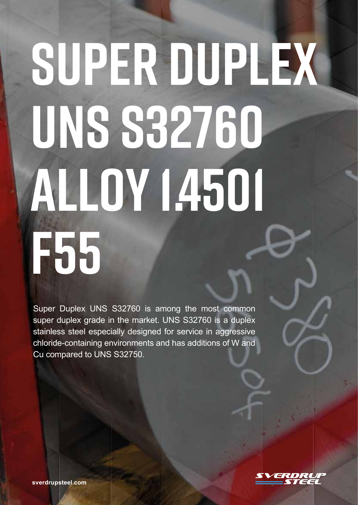# **SUPER DUPLEX UNS S32760 ALLOY 1.4501 F55**

Super Duplex UNS S32760 is among the most common super duplex grade in the market. UNS S32760 is a duplex stainless steel especially designed for service in aggressive chloride-containing environments and has additions of W and Cu compared to UNS S32750.